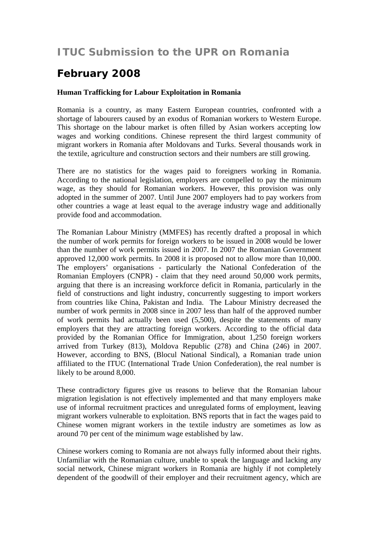## **ITUC Submission to the UPR on Romania**

## **February 2008**

## **Human Trafficking for Labour Exploitation in Romania**

Romania is a country, as many Eastern European countries, confronted with a shortage of labourers caused by an exodus of Romanian workers to Western Europe. This shortage on the labour market is often filled by Asian workers accepting low wages and working conditions. Chinese represent the third largest community of migrant workers in Romania after Moldovans and Turks. Several thousands work in the textile, agriculture and construction sectors and their numbers are still growing.

There are no statistics for the wages paid to foreigners working in Romania. According to the national legislation, employers are compelled to pay the minimum wage, as they should for Romanian workers. However, this provision was only adopted in the summer of 2007. Until June 2007 employers had to pay workers from other countries a wage at least equal to the average industry wage and additionally provide food and accommodation.

The Romanian Labour Ministry (MMFES) has recently drafted a proposal in which the number of work permits for foreign workers to be issued in 2008 would be lower than the number of work permits issued in 2007. In 2007 the Romanian Government approved 12,000 work permits. In 2008 it is proposed not to allow more than 10,000. The employers' organisations - particularly the National Confederation of the Romanian Employers (CNPR) - claim that they need around 50,000 work permits, arguing that there is an increasing workforce deficit in Romania, particularly in the field of constructions and light industry, concurrently suggesting to import workers from countries like China, Pakistan and India. The Labour Ministry decreased the number of work permits in 2008 since in 2007 less than half of the approved number of work permits had actually been used (5,500), despite the statements of many employers that they are attracting foreign workers. According to the official data provided by the Romanian Office for Immigration, about 1,250 foreign workers arrived from Turkey (813), Moldova Republic (278) and China (246) in 2007. However, according to BNS, (Blocul National Sindical), a Romanian trade union affiliated to the ITUC (International Trade Union Confederation), the real number is likely to be around 8,000.

These contradictory figures give us reasons to believe that the Romanian labour migration legislation is not effectively implemented and that many employers make use of informal recruitment practices and unregulated forms of employment, leaving migrant workers vulnerable to exploitation. BNS reports that in fact the wages paid to Chinese women migrant workers in the textile industry are sometimes as low as around 70 per cent of the minimum wage established by law.

Chinese workers coming to Romania are not always fully informed about their rights. Unfamiliar with the Romanian culture, unable to speak the language and lacking any social network, Chinese migrant workers in Romania are highly if not completely dependent of the goodwill of their employer and their recruitment agency, which are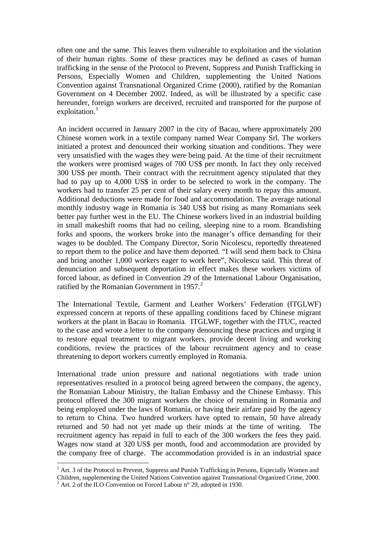often one and the same. This leaves them vulnerable to exploitation and the violation of their human rights. Some of these practices may be defined as cases of human trafficking in the sense of the Protocol to Prevent, Suppress and Punish Trafficking in Persons, Especially Women and Children, supplementing the United Nations Convention against Transnational Organized Crime (2000), ratified by the Romanian Government on 4 December 2002. Indeed, as will be illustrated by a specific case hereunder, foreign workers are deceived, recruited and transported for the purpose of exploitation.<sup>[1](#page-1-0)</sup>

An incident occurred in January 2007 in the city of Bacau, where approximately 200 Chinese women work in a textile company named Wear Company Srl. The workers initiated a protest and denounced their working situation and conditions. They were very unsatisfied with the wages they were being paid. At the time of their recruitment the workers were promised wages of 700 US\$ per month. In fact they only received 300 US\$ per month. Their contract with the recruitment agency stipulated that they had to pay up to 4,000 US\$ in order to be selected to work in the company. The workers had to transfer 25 per cent of their salary every month to repay this amount. Additional deductions were made for food and accommodation. The average national monthly industry wage in Romania is 340 US\$ but rising as many Romanians seek better pay further west in the EU. The Chinese workers lived in an industrial building in small makeshift rooms that had no ceiling, sleeping nine to a room. Brandishing forks and spoons, the workers broke into the manager's office demanding for their wages to be doubled. The Company Director, Sorin Nicolescu, reportedly threatened to report them to the police and have them deported. "I will send them back to China and bring another 1,000 workers eager to work here", Nicolescu said. This threat of denunciation and subsequent deportation in effect makes these workers victims of forced labour, as defined in Convention 29 of the International Labour Organisation, ratified by the Romanian Government in  $1957<sup>2</sup>$  $1957<sup>2</sup>$  $1957<sup>2</sup>$ .

The International Textile, Garment and Leather Workers' Federation (ITGLWF) expressed concern at reports of these appalling conditions faced by Chinese migrant workers at the plant in Bacau in Romania. ITGLWF, together with the ITUC, reacted to the case and wrote a letter to the company denouncing these practices and urging it to restore equal treatment to migrant workers, provide decent living and working conditions, review the practices of the labour recruitment agency and to cease threatening to deport workers currently employed in Romania.

International trade union pressure and national negotiations with trade union representatives resulted in a protocol being agreed between the company, the agency, the Romanian Labour Ministry, the Italian Embassy and the Chinese Embassy. This protocol offered the 300 migrant workers the choice of remaining in Romania and being employed under the laws of Romania, or having their airfare paid by the agency to return to China. Two hundred workers have opted to remain, 50 have already returned and 50 had not yet made up their minds at the time of writing. The recruitment agency has repaid in full to each of the 300 workers the fees they paid. Wages now stand at 320 US\$ per month, food and accommodation are provided by the company free of charge. The accommodation provided is in an industrial space

 $\overline{a}$ 

<span id="page-1-1"></span><span id="page-1-0"></span><sup>&</sup>lt;sup>1</sup> Art. 3 of the Protocol to Prevent, Suppress and Punish Trafficking in Persons, Especially Women and Children, supplementing the United Nations Convention against Transnational Organized Crime, 2000.  $^2$  Art. 2 of the ILO Convention on Forced Labour n° 29, adopted in 1930.